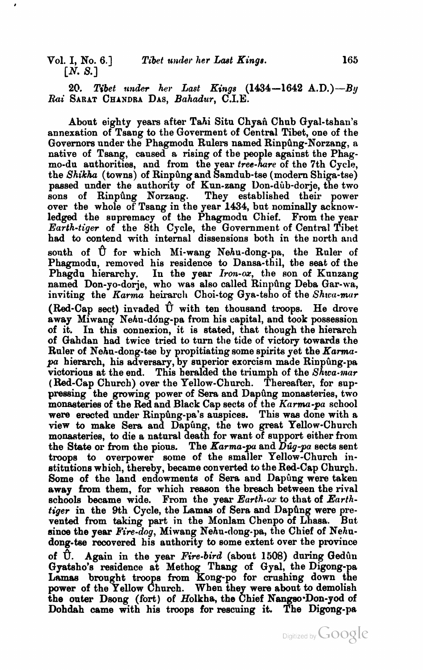*20. Tibet* **under** *her Last Kings* **(1434-1642** A.D.)-By *Rai* SARAT CHANDRA DAS, *Bahadur,* C.I.E.

About eighty years after Tahi Situ Chyañ Chub Gyal-tshan's annexation of Tsang to the Goverment of Central Tibet, one of the Governors under the Phagmodu Rulers named Rinpung-Norzang, a native of Tsang, caused a rising of the people against the Phagmo-du authorities, and from the year *tree-hare* of the 7th Cycle, the *Shikha* (towns) of Rinpûng and Samdub-tse (modern Shiga-tse) passed under the authority of Kun-zang Don-dub-dorje, the two sons of Rinpûng Norzang. They established their power over the whole of Tsang in the year 1434, but nominally acknowledged the supremacy of the Phagmodu Chief. From the year *Earth-tiger* of the 8th Cycle, the Government of Central Tibet had to contend with internal dissensions both in the north and sonth of  $\hat{U}$  for which Mi-wang Nehu-dong-pa, the Ruler of Phagmodn, removed his residence to Dansa-thil, the seat of the Phagdu hierarchy. In the year *Iron-ox*, the son of Kunzang named Don-yo-dorje, who was also called Rinpung Deba Gar-wa, inviting the *Karma* heirarch Choi-tog Gya-tsho of the *Shwa-mar* (Red-Cap sect) invaded  $\hat{U}$  with ten thousand troops. He drove away Miwang Nehn-dong-pa from his capital, and took possession of it. In this connexion, it is stated, that though the hierarch of Gahdan had twice tried to turn the tide of victory towards the Ruler of Nehu-dong-tse by propitiating some spirits yet the *Karma* $pa$  hierarch, his adversary, by superior exorcism made Rinpung-pa victorious at the end. This heralded the triumph of the *Shwa-war*  ( Red-Cap Church) over the Yellow-Church. Thereafter, for suppressing the growing power of Sera and Dapung monasteries, two monasteries of the Red and Black Cap sects of the *Karma-pa* school were erected under Rinpûng-pa's auspices. This was done with a view to make Sera and Dapung, the two great Yellow-Church monasteries, to die a natural death for want of support either from the State or **from** the pions. The *Karma-pu* and *Ddg-pa* sects sent troops to overpower some of the smaller Yellow-Church institutions which, thereby, became converted to the Red-Cap Church. Some of the land endowments of Sera and Dapung were taken away from them, for which reason the breach between the rival schools became wide. From the year *Earth-oa:* to that of *Earth*tiger in the 9th Cycle, the Lamas of Sera and Dapung were prevented from taking part in the Monlam Chenpo of Lhasa. But since the year Fire-dog, Miwang Nehu-dong-pa, the Chief of Nehudong-tee recovered his authority to some extent over the province of U. Again in the year *Fire-bird* (about 1508) during Gedûn Gyatsho's residence at Methog Thang of Gyal, the Digong-pa Lamas brought troops from Kong-po for crushing down the power of the Yellow Church. When they were about to demolish the outer Dsong (fort) of Holkha, the Chief Nangso-Don-yod of Dohdah came with his troops for rescuing it power of the Yellow Church. When they were about to demolish the outer Dsong (fort) of Holkha, the Chief Nangso Don-yod of Dohdah came with his troops for rescuing it. The Digong-pa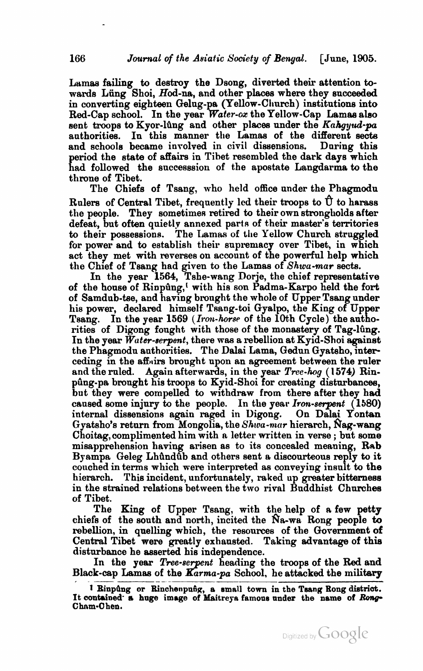Lamas failing to destroy the Dsong, diverted their attention towards Lüng Shoi, Hod-na, and other places where they succeeded in converting eighteen Qelug-pa (Yellow-Clrurch) imtitutions into Red-Cap school. In the year  $\mathbf{Water\text{-}ox}$  the Yellow-Cap Lamas also sent troops to Kyor-lûng and other places under the Kahgyud-pa authorities. In this manner the Lamas of the different sects and schools became involved in civil dissensions. During this and schools became involved in civil dissensions. period the state of affairs in Tibet resembled the dark days which had followed the successsion of the apostate Langdarma to the throne of Tibet.

The Chiefs of Tsang, who held office under the Phagmodu Rulers of Central Tibet, frequently led their troops to  $\hat{U}$  to harass the people. They sometimes retired to their own strongholds after defeat, but often quietly annexed parts of their master's territories to their possessions. The Lamas of the Yellow Church struggled for power and to establish their supremacy over Tibet, in which act they met with reverses on account of the powerful help which the Chief of Tsang had given to the Lamaa of Shwu-mar sects.

In the year **1564,** Tshe-wang Dorje, the chief representative of the honse of Rinpdng,' with his son Padma-Karpo held the fort of Samdub-be, and having brought the whole of Upper Tsang under his power, declared himself Tsang-toi Gyalpo, the King of Upper Tsang. In the year 1569 *(Iron-horse* of the 10th Cycle) the authorities of Digong fonght with those of the monastery of Tag-lûng. In the year  $\hat{W}$  *ater-serpent*, there was a rebellion at Kyid-Shoi against the Phagmodn authorities. The Dalai Lama, Qedun Gyatsho, interceding in the affairs brought upon an agreement between the ruler and the ruled. Again afterwards, in the year  $Tree\text{-}hog$  (1574) Rinping-pa brought his troops to Kyid-Shoi for creating disturbances, but they were compelled to withdraw from there after they had caused some injury to the people. In the year Iron-serpent (1580) internal dissensions again raged in Digong. On Dalai Yontan Gyatsho's return from Mongolia, the Shwa-mar hierarch, Nag-wang Choitag,complimented him with a letter written in verse ; but some misapprehension having arisen as to its concealed meaning, Rnb Byampa Geleg Lhûndûb and others sent a discourteous reply to it couched in terms which were interpreted as conveying insult to the hierarch. This incident, unfortunately, raked up greater bitterness in the strained relations between the two rival Buddhist Churchee of Tibet.

The King of Upper Tsang, with the help of a few petty chiefs of the south and north, incited the Na-wa Rong people to chiefs of the south and north, incited the Na-wa Rong people to<br>rebellion, in quelling which, the resources of the Government of<br>Central Tibet were greatly exhausted. Taking advantage of this<br>disturbance he asserted his i Central Tibet were greatly exhausted. Taking advantage of this disturbance he asserted his independence.

In the year *Tree-serpent* heading the troops of the Red and Black-cap Lamas of the Karma-pa School, he attacked the military



**<sup>1</sup>** BinpQng or Binohenpnfig, a small town in the **Tseng** Bong **dietriot.**  It contained- a **huge** image of Maitreyn famous nnder the name of *hnp*  **Chnrn.0** hen.